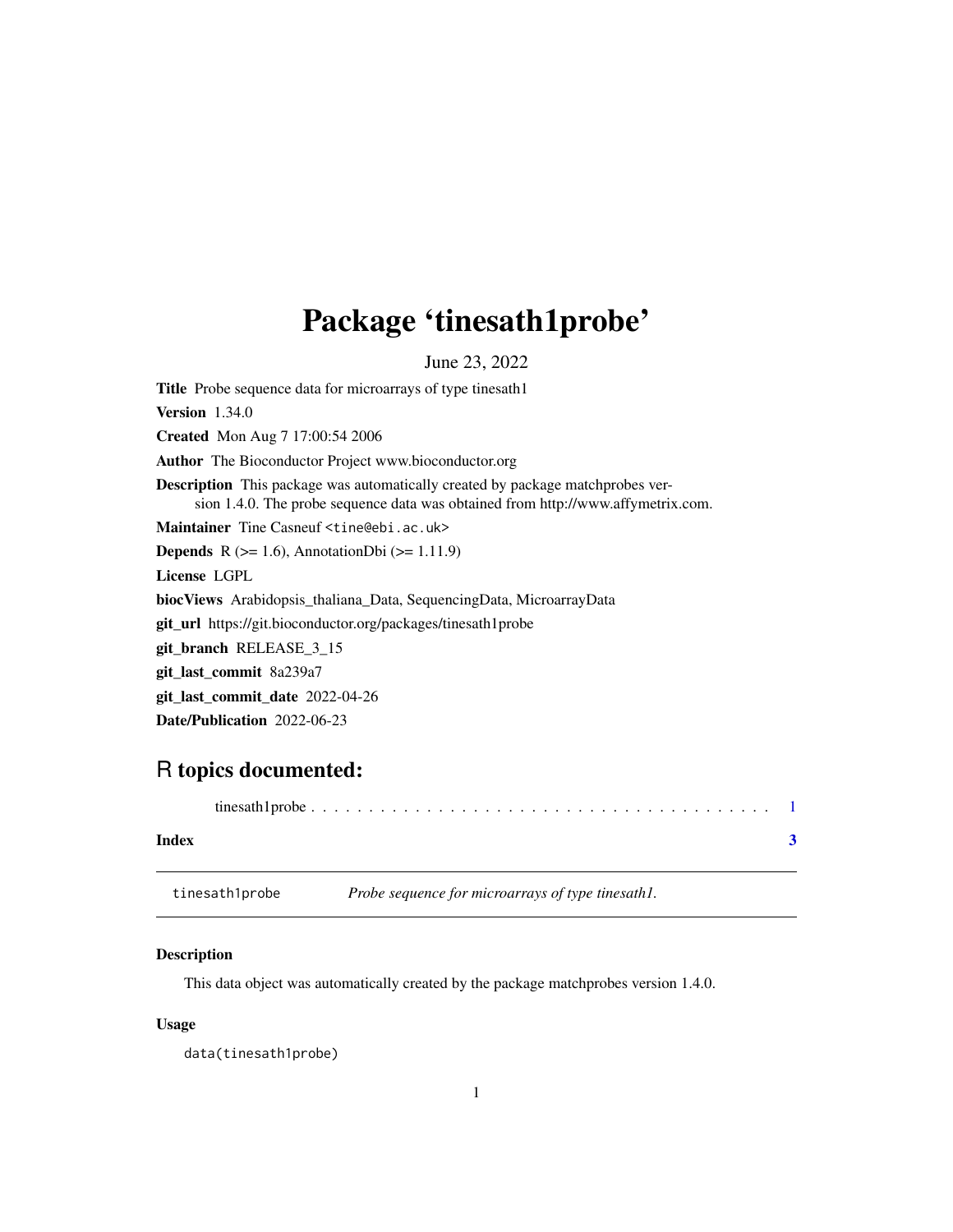# <span id="page-0-0"></span>Package 'tinesath1probe'

June 23, 2022

Title Probe sequence data for microarrays of type tinesath1 Version 1.34.0 Created Mon Aug 7 17:00:54 2006 Author The Bioconductor Project www.bioconductor.org Description This package was automatically created by package matchprobes version 1.4.0. The probe sequence data was obtained from http://www.affymetrix.com. Maintainer Tine Casneuf <tine@ebi.ac.uk> **Depends** R  $(>= 1.6)$ , AnnotationDbi  $(>= 1.11.9)$ License LGPL biocViews Arabidopsis\_thaliana\_Data, SequencingData, MicroarrayData git\_url https://git.bioconductor.org/packages/tinesath1probe git\_branch RELEASE\_3\_15 git\_last\_commit 8a239a7 git\_last\_commit\_date 2022-04-26 Date/Publication 2022-06-23

## R topics documented:

| Index |  |
|-------|--|

tinesath1probe *Probe sequence for microarrays of type tinesath1.*

#### Description

This data object was automatically created by the package matchprobes version 1.4.0.

#### Usage

data(tinesath1probe)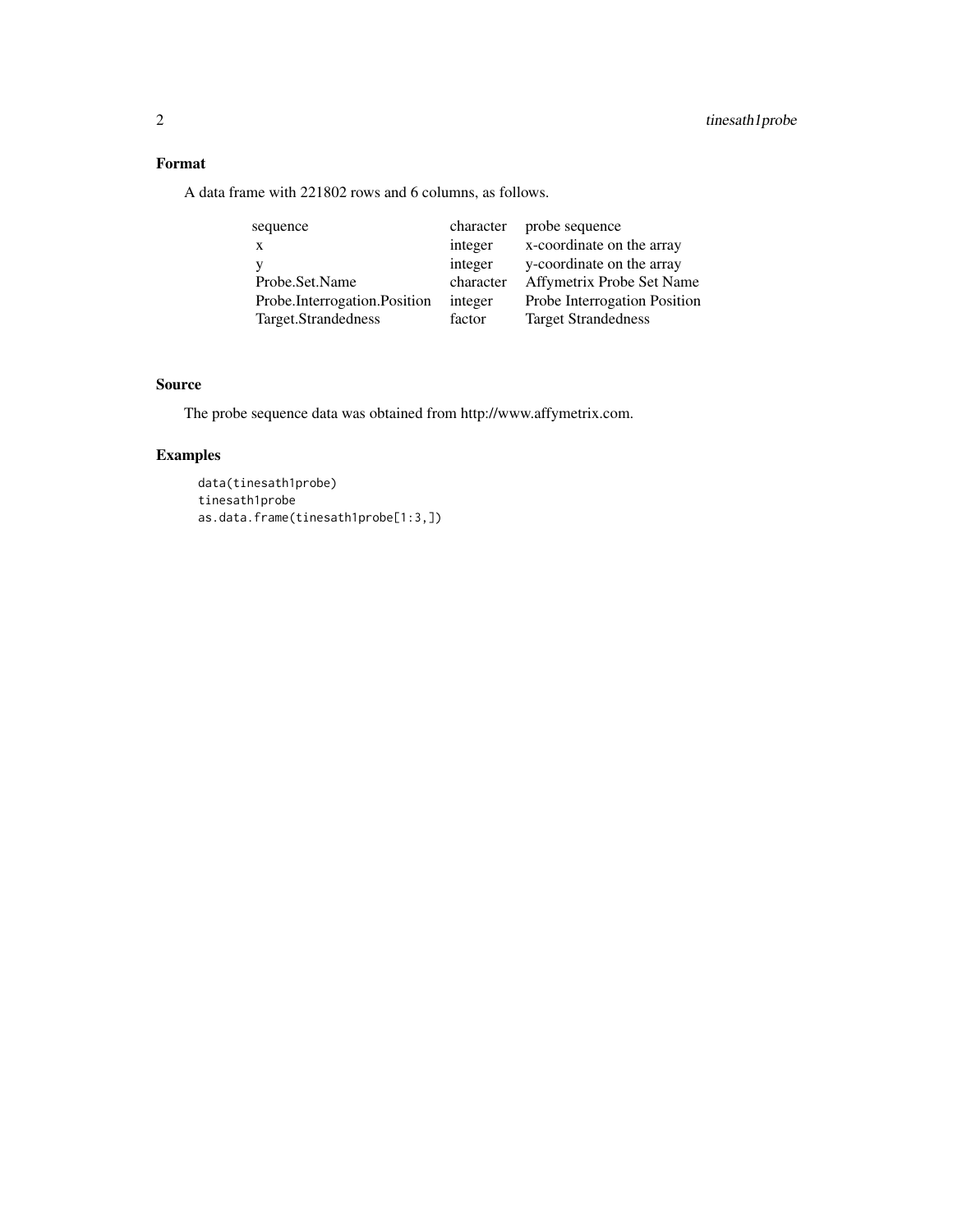### Format

A data frame with 221802 rows and 6 columns, as follows.

| sequence                     | character | probe sequence               |
|------------------------------|-----------|------------------------------|
| $\mathbf{X}$                 | integer   | x-coordinate on the array    |
|                              | integer   | y-coordinate on the array    |
| Probe.Set.Name               | character | Affymetrix Probe Set Name    |
| Probe.Interrogation.Position | integer   | Probe Interrogation Position |
| Target.Strandedness          | factor    | <b>Target Strandedness</b>   |

#### Source

The probe sequence data was obtained from http://www.affymetrix.com.

### Examples

data(tinesath1probe) tinesath1probe as.data.frame(tinesath1probe[1:3,])